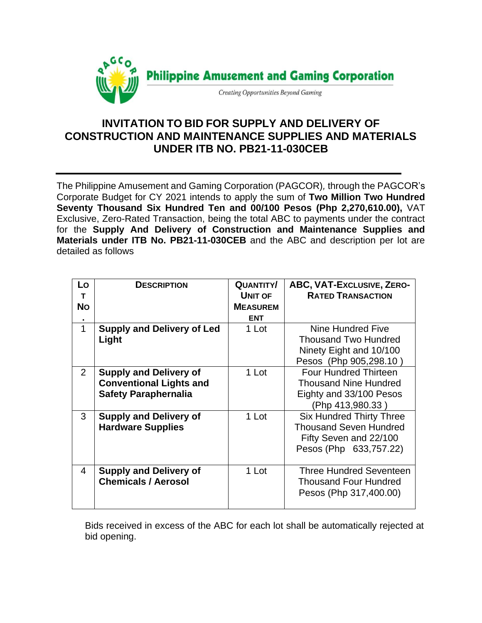

## **INVITATION TO BID FOR SUPPLY AND DELIVERY OF CONSTRUCTION AND MAINTENANCE SUPPLIES AND MATERIALS UNDER ITB NO. PB21-11-030CEB**

The Philippine Amusement and Gaming Corporation (PAGCOR)*,* through the PAGCOR's Corporate Budget for CY 2021 intends to apply the sum of **Two Million Two Hundred Seventy Thousand Six Hundred Ten and 00/100 Pesos (Php 2,270,610.00),** VAT Exclusive, Zero-Rated Transaction, being the total ABC to payments under the contract for the **Supply And Delivery of Construction and Maintenance Supplies and Materials under ITB No. PB21-11-030CEB** and the ABC and description per lot are detailed as follows

| Lo<br>т<br><b>No</b> | <b>DESCRIPTION</b>                                                                             | <b>QUANTITY/</b><br><b>UNIT OF</b><br><b>MEASUREM</b><br><b>ENT</b> | ABC, VAT-EXCLUSIVE, ZERO-<br><b>RATED TRANSACTION</b>                                                                |
|----------------------|------------------------------------------------------------------------------------------------|---------------------------------------------------------------------|----------------------------------------------------------------------------------------------------------------------|
| 1                    | <b>Supply and Delivery of Led</b><br>Light                                                     | 1 Lot                                                               | Nine Hundred Five<br><b>Thousand Two Hundred</b><br>Ninety Eight and 10/100<br>Pesos (Php 905,298.10)                |
| $\overline{2}$       | <b>Supply and Delivery of</b><br><b>Conventional Lights and</b><br><b>Safety Paraphernalia</b> | 1 Lot                                                               | <b>Four Hundred Thirteen</b><br><b>Thousand Nine Hundred</b><br>Eighty and 33/100 Pesos<br>(Php 413,980.33)          |
| 3                    | <b>Supply and Delivery of</b><br><b>Hardware Supplies</b>                                      | 1 Lot                                                               | <b>Six Hundred Thirty Three</b><br><b>Thousand Seven Hundred</b><br>Fifty Seven and 22/100<br>Pesos (Php 633,757.22) |
| 4                    | <b>Supply and Delivery of</b><br><b>Chemicals / Aerosol</b>                                    | 1 Lot                                                               | <b>Three Hundred Seventeen</b><br><b>Thousand Four Hundred</b><br>Pesos (Php 317,400.00)                             |

Bids received in excess of the ABC for each lot shall be automatically rejected at bid opening.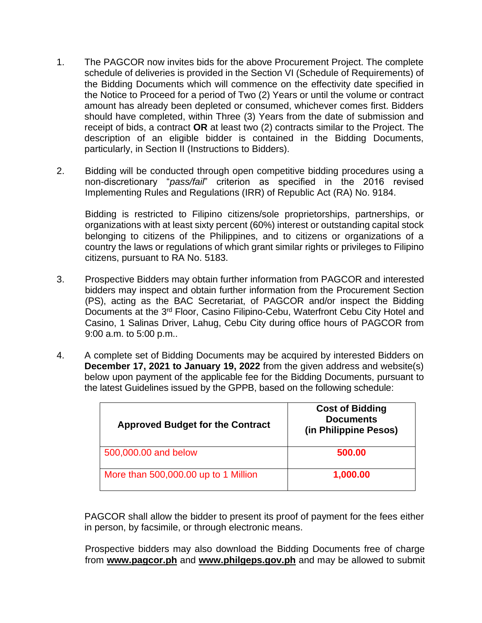- 1. The PAGCOR now invites bids for the above Procurement Project. The complete schedule of deliveries is provided in the Section VI (Schedule of Requirements) of the Bidding Documents which will commence on the effectivity date specified in the Notice to Proceed for a period of Two (2) Years or until the volume or contract amount has already been depleted or consumed, whichever comes first. Bidders should have completed, within Three (3) Years from the date of submission and receipt of bids, a contract **OR** at least two (2) contracts similar to the Project. The description of an eligible bidder is contained in the Bidding Documents, particularly, in Section II (Instructions to Bidders).
- 2. Bidding will be conducted through open competitive bidding procedures using a non-discretionary "*pass/fail*" criterion as specified in the 2016 revised Implementing Rules and Regulations (IRR) of Republic Act (RA) No. 9184.

Bidding is restricted to Filipino citizens/sole proprietorships, partnerships, or organizations with at least sixty percent (60%) interest or outstanding capital stock belonging to citizens of the Philippines, and to citizens or organizations of a country the laws or regulations of which grant similar rights or privileges to Filipino citizens, pursuant to RA No. 5183.

- 3. Prospective Bidders may obtain further information from PAGCOR and interested bidders may inspect and obtain further information from the Procurement Section (PS), acting as the BAC Secretariat, of PAGCOR and/or inspect the Bidding Documents at the 3<sup>rd</sup> Floor, Casino Filipino-Cebu, Waterfront Cebu City Hotel and Casino, 1 Salinas Driver, Lahug, Cebu City during office hours of PAGCOR from 9:00 a.m. to 5:00 p.m..
- 4. A complete set of Bidding Documents may be acquired by interested Bidders on **December 17, 2021 to January 19, 2022** from the given address and website(s) below upon payment of the applicable fee for the Bidding Documents, pursuant to the latest Guidelines issued by the GPPB, based on the following schedule:

| <b>Approved Budget for the Contract</b> | <b>Cost of Bidding</b><br><b>Documents</b><br>(in Philippine Pesos) |
|-----------------------------------------|---------------------------------------------------------------------|
| 500,000.00 and below                    | 500.00                                                              |
| More than 500,000.00 up to 1 Million    | 1,000.00                                                            |

PAGCOR shall allow the bidder to present its proof of payment for the fees either in person, by facsimile, or through electronic means.

Prospective bidders may also download the Bidding Documents free of charge from **[www.pagcor.ph](http://www.pagcor.ph/)** and **www.philgeps.gov.ph** and may be allowed to submit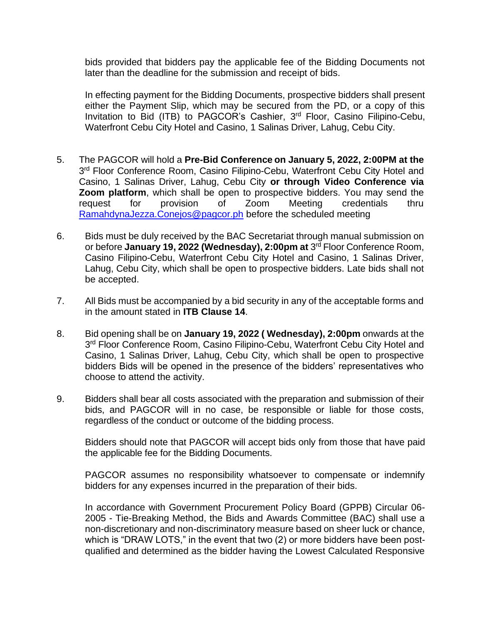bids provided that bidders pay the applicable fee of the Bidding Documents not later than the deadline for the submission and receipt of bids.

In effecting payment for the Bidding Documents, prospective bidders shall present either the Payment Slip, which may be secured from the PD, or a copy of this Invitation to Bid (ITB) to PAGCOR's Cashier, 3<sup>rd</sup> Floor, Casino Filipino-Cebu, Waterfront Cebu City Hotel and Casino, 1 Salinas Driver, Lahug, Cebu City.

- 5. The PAGCOR will hold a **Pre-Bid Conference on January 5, 2022, 2:00PM at the**  3<sup>rd</sup> Floor Conference Room, Casino Filipino-Cebu, Waterfront Cebu City Hotel and Casino, 1 Salinas Driver, Lahug, Cebu City **or through Video Conference via Zoom platform**, which shall be open to prospective bidders. You may send the request for provision of Zoom Meeting credentials thru [RamahdynaJezza.Conejos@pagcor.ph](mailto:RamahdynaJezza.Conejos@pagcor.ph) before the scheduled meeting
- 6. Bids must be duly received by the BAC Secretariat through manual submission on or before **January 19, 2022 (Wednesday), 2:00pm at** 3 rd Floor Conference Room, Casino Filipino-Cebu, Waterfront Cebu City Hotel and Casino, 1 Salinas Driver, Lahug, Cebu City, which shall be open to prospective bidders. Late bids shall not be accepted.
- 7. All Bids must be accompanied by a bid security in any of the acceptable forms and in the amount stated in **ITB Clause 14**.
- 8. Bid opening shall be on **January 19, 2022 ( Wednesday), 2:00pm** onwards at the 3<sup>rd</sup> Floor Conference Room, Casino Filipino-Cebu, Waterfront Cebu City Hotel and Casino, 1 Salinas Driver, Lahug, Cebu City, which shall be open to prospective bidders Bids will be opened in the presence of the bidders' representatives who choose to attend the activity.
- 9. Bidders shall bear all costs associated with the preparation and submission of their bids, and PAGCOR will in no case, be responsible or liable for those costs, regardless of the conduct or outcome of the bidding process.

Bidders should note that PAGCOR will accept bids only from those that have paid the applicable fee for the Bidding Documents.

PAGCOR assumes no responsibility whatsoever to compensate or indemnify bidders for any expenses incurred in the preparation of their bids.

In accordance with Government Procurement Policy Board (GPPB) Circular 06- 2005 - Tie-Breaking Method, the Bids and Awards Committee (BAC) shall use a non-discretionary and non-discriminatory measure based on sheer luck or chance, which is "DRAW LOTS," in the event that two (2) or more bidders have been postqualified and determined as the bidder having the Lowest Calculated Responsive